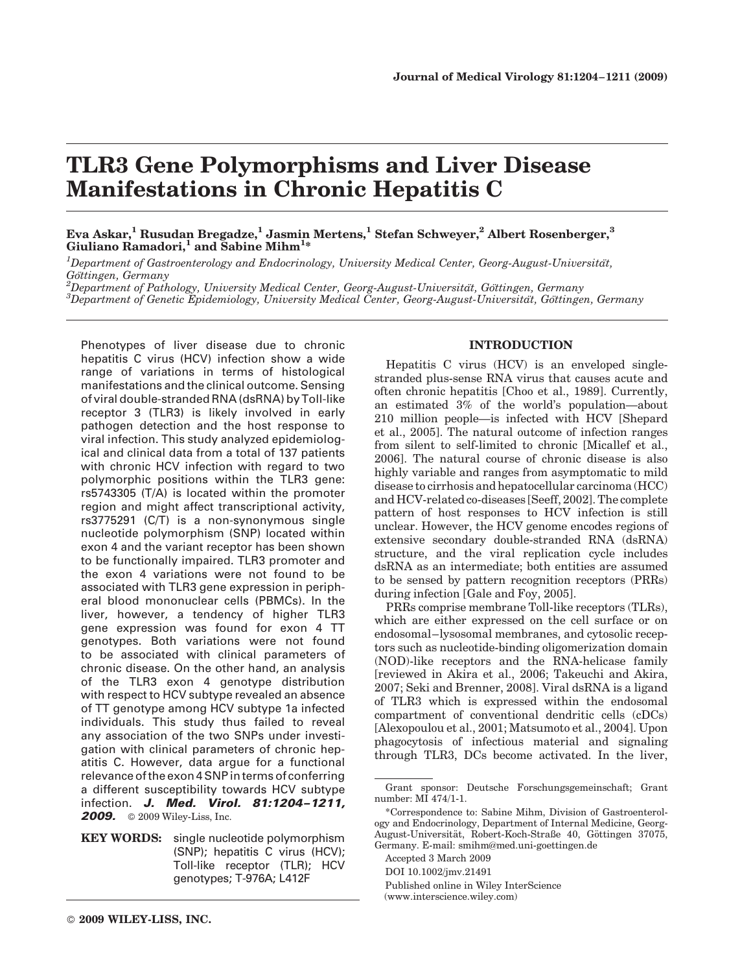# TLR3 Gene Polymorphisms and Liver Disease Manifestations in Chronic Hepatitis C

## Eva Askar,<sup>1</sup> Rusudan Bregadze,<sup>1</sup> Jasmin Mertens,<sup>1</sup> Stefan Schweyer,<sup>2</sup> Albert Rosenberger,<sup>3</sup> Giuliano Ramadori,<sup>1</sup> and Sabine Mihm<sup>1</sup>\*

 $^1$ Department of Gastroenterology and Endocrinology, University Medical Center, Georg-August-Universität, Göttingen, Germany

 $^{2}$ Department of Pathology, University Medical Center, Georg-August-Universität, Göttingen, Germany  ${}^{3}$ Department of Genetic Epidemiology, University Medical Center, Georg-August-Universitat, Göttingen, Germany

Phenotypes of liver disease due to chronic hepatitis C virus (HCV) infection show a wide range of variations in terms of histological manifestations and the clinical outcome. Sensing of viral double-stranded RNA (dsRNA) by Toll-like receptor 3 (TLR3) is likely involved in early pathogen detection and the host response to viral infection. This study analyzed epidemiological and clinical data from a total of 137 patients with chronic HCV infection with regard to two polymorphic positions within the TLR3 gene: rs5743305 (T/A) is located within the promoter region and might affect transcriptional activity, rs3775291 (C/T) is a non-synonymous single nucleotide polymorphism (SNP) located within exon 4 and the variant receptor has been shown to be functionally impaired. TLR3 promoter and the exon 4 variations were not found to be associated with TLR3 gene expression in peripheral blood mononuclear cells (PBMCs). In the liver, however, a tendency of higher TLR3 gene expression was found for exon 4 TT genotypes. Both variations were not found to be associated with clinical parameters of chronic disease. On the other hand, an analysis of the TLR3 exon 4 genotype distribution with respect to HCV subtype revealed an absence of TT genotype among HCV subtype 1a infected individuals. This study thus failed to reveal any association of the two SNPs under investigation with clinical parameters of chronic hepatitis C. However, data argue for a functional relevance of the exon 4 SNP in terms of conferring a different susceptibility towards HCV subtype infection. J. Med. Virol. 81:1204–1211, **2009.** © 2009 Wiley-Liss, Inc.

KEY WORDS: single nucleotide polymorphism (SNP); hepatitis C virus (HCV); Toll-like receptor (TLR); HCV genotypes; T-976A; L412F

# INTRODUCTION

Hepatitis C virus (HCV) is an enveloped singlestranded plus-sense RNA virus that causes acute and often chronic hepatitis [Choo et al., 1989]. Currently, an estimated 3% of the world's population—about 210 million people—is infected with HCV [Shepard et al., 2005]. The natural outcome of infection ranges from silent to self-limited to chronic [Micallef et al., 2006]. The natural course of chronic disease is also highly variable and ranges from asymptomatic to mild disease to cirrhosis and hepatocellular carcinoma (HCC) and HCV-related co-diseases [Seeff, 2002]. The complete pattern of host responses to HCV infection is still unclear. However, the HCV genome encodes regions of extensive secondary double-stranded RNA (dsRNA) structure, and the viral replication cycle includes dsRNA as an intermediate; both entities are assumed to be sensed by pattern recognition receptors (PRRs) during infection [Gale and Foy, 2005].

PRRs comprise membrane Toll-like receptors (TLRs), which are either expressed on the cell surface or on endosomal–lysosomal membranes, and cytosolic receptors such as nucleotide-binding oligomerization domain (NOD)-like receptors and the RNA-helicase family [reviewed in Akira et al., 2006; Takeuchi and Akira, 2007; Seki and Brenner, 2008]. Viral dsRNA is a ligand of TLR3 which is expressed within the endosomal compartment of conventional dendritic cells (cDCs) [Alexopoulou et al., 2001; Matsumoto et al., 2004]. Upon phagocytosis of infectious material and signaling through TLR3, DCs become activated. In the liver,

Published online in Wiley InterScience (www.interscience.wiley.com)

Grant sponsor: Deutsche Forschungsgemeinschaft; Grant number: MI 474/1-1.

<sup>\*</sup>Correspondence to: Sabine Mihm, Division of Gastroenterology and Endocrinology, Department of Internal Medicine, Georg-August-Universität, Robert-Koch-Straße 40, Göttingen 37075, Germany. E-mail: smihm@med.uni-goettingen.de

Accepted 3 March 2009

DOI 10.1002/jmv.21491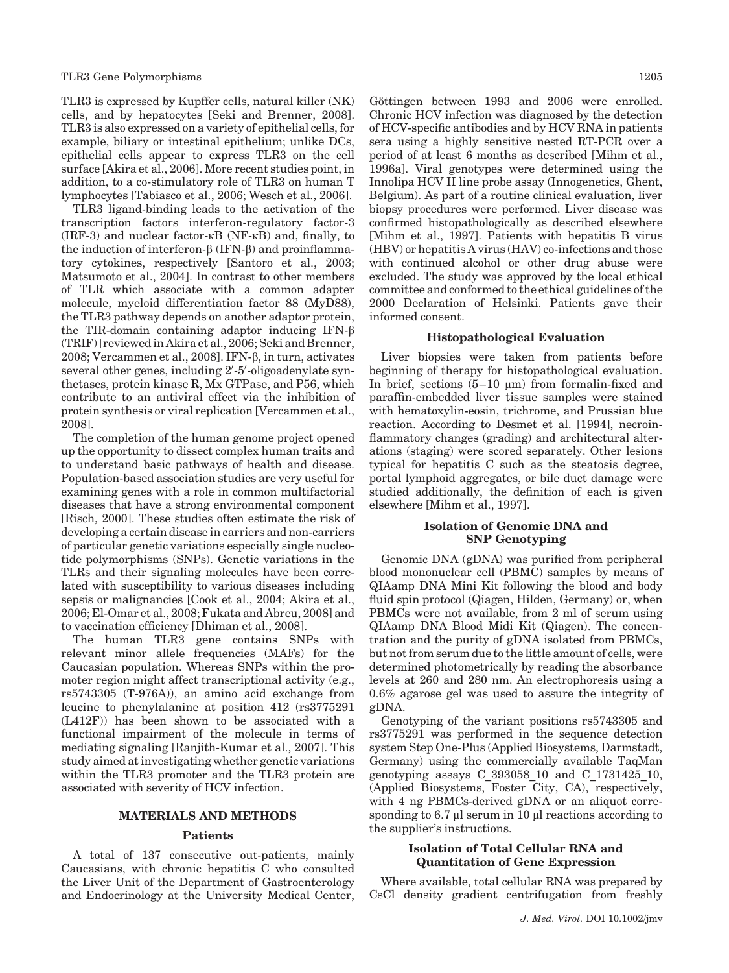TLR3 is expressed by Kupffer cells, natural killer (NK) cells, and by hepatocytes [Seki and Brenner, 2008]. TLR3 is also expressed on a variety of epithelial cells, for example, biliary or intestinal epithelium; unlike DCs, epithelial cells appear to express TLR3 on the cell surface [Akira et al., 2006]. More recent studies point, in addition, to a co-stimulatory role of TLR3 on human T lymphocytes [Tabiasco et al., 2006; Wesch et al., 2006].

TLR3 ligand-binding leads to the activation of the transcription factors interferon-regulatory factor-3  $(IRF-3)$  and nuclear factor- $\kappa$ B (NF- $\kappa$ B) and, finally, to the induction of interferon- $\beta$  (IFN- $\beta$ ) and proinflammatory cytokines, respectively [Santoro et al., 2003; Matsumoto et al., 2004]. In contrast to other members of TLR which associate with a common adapter molecule, myeloid differentiation factor 88 (MyD88), the TLR3 pathway depends on another adaptor protein, the TIR-domain containing adaptor inducing IFN- $\beta$ (TRIF) [reviewed in Akira et al., 2006; Seki and Brenner, 2008; Vercammen et al., 2008]. IFN-b, in turn, activates several other genes, including 2'-5'-oligoadenylate synthetases, protein kinase R, Mx GTPase, and P56, which contribute to an antiviral effect via the inhibition of protein synthesis or viral replication [Vercammen et al., 2008].

The completion of the human genome project opened up the opportunity to dissect complex human traits and to understand basic pathways of health and disease. Population-based association studies are very useful for examining genes with a role in common multifactorial diseases that have a strong environmental component [Risch, 2000]. These studies often estimate the risk of developing a certain disease in carriers and non-carriers of particular genetic variations especially single nucleotide polymorphisms (SNPs). Genetic variations in the TLRs and their signaling molecules have been correlated with susceptibility to various diseases including sepsis or malignancies [Cook et al., 2004; Akira et al., 2006; El-Omar et al., 2008; Fukata and Abreu, 2008] and to vaccination efficiency [Dhiman et al., 2008].

The human TLR3 gene contains SNPs with relevant minor allele frequencies (MAFs) for the Caucasian population. Whereas SNPs within the promoter region might affect transcriptional activity (e.g., rs5743305 (T-976A)), an amino acid exchange from leucine to phenylalanine at position 412 (rs3775291 (L412F)) has been shown to be associated with a functional impairment of the molecule in terms of mediating signaling [Ranjith-Kumar et al., 2007]. This study aimed at investigating whether genetic variations within the TLR3 promoter and the TLR3 protein are associated with severity of HCV infection.

#### MATERIALS AND METHODS

#### **Patients**

A total of 137 consecutive out-patients, mainly Caucasians, with chronic hepatitis C who consulted the Liver Unit of the Department of Gastroenterology and Endocrinology at the University Medical Center, Göttingen between 1993 and 2006 were enrolled. Chronic HCV infection was diagnosed by the detection of HCV-specific antibodies and by HCV RNA in patients sera using a highly sensitive nested RT-PCR over a period of at least 6 months as described [Mihm et al., 1996a]. Viral genotypes were determined using the Innolipa HCV II line probe assay (Innogenetics, Ghent, Belgium). As part of a routine clinical evaluation, liver biopsy procedures were performed. Liver disease was confirmed histopathologically as described elsewhere [Mihm et al., 1997]. Patients with hepatitis B virus (HBV) or hepatitis A virus (HAV) co-infections and those with continued alcohol or other drug abuse were excluded. The study was approved by the local ethical committee and conformed to the ethical guidelines of the 2000 Declaration of Helsinki. Patients gave their informed consent.

#### Histopathological Evaluation

Liver biopsies were taken from patients before beginning of therapy for histopathological evaluation. In brief, sections  $(5-10 \mu m)$  from formalin-fixed and paraffin-embedded liver tissue samples were stained with hematoxylin-eosin, trichrome, and Prussian blue reaction. According to Desmet et al. [1994], necroinflammatory changes (grading) and architectural alterations (staging) were scored separately. Other lesions typical for hepatitis C such as the steatosis degree, portal lymphoid aggregates, or bile duct damage were studied additionally, the definition of each is given elsewhere [Mihm et al., 1997].

### Isolation of Genomic DNA and SNP Genotyping

Genomic DNA (gDNA) was purified from peripheral blood mononuclear cell (PBMC) samples by means of QIAamp DNA Mini Kit following the blood and body fluid spin protocol (Qiagen, Hilden, Germany) or, when PBMCs were not available, from 2 ml of serum using QIAamp DNA Blood Midi Kit (Qiagen). The concentration and the purity of gDNA isolated from PBMCs, but not from serum due to the little amount of cells, were determined photometrically by reading the absorbance levels at 260 and 280 nm. An electrophoresis using a 0.6% agarose gel was used to assure the integrity of gDNA.

Genotyping of the variant positions rs5743305 and rs3775291 was performed in the sequence detection system Step One-Plus (Applied Biosystems, Darmstadt, Germany) using the commercially available TaqMan genotyping assays C\_393058\_10 and C\_1731425\_10, (Applied Biosystems, Foster City, CA), respectively, with 4 ng PBMCs-derived gDNA or an aliquot corresponding to 6.7  $\mu$ l serum in 10  $\mu$ l reactions according to the supplier's instructions.

#### Isolation of Total Cellular RNA and Quantitation of Gene Expression

Where available, total cellular RNA was prepared by CsCl density gradient centrifugation from freshly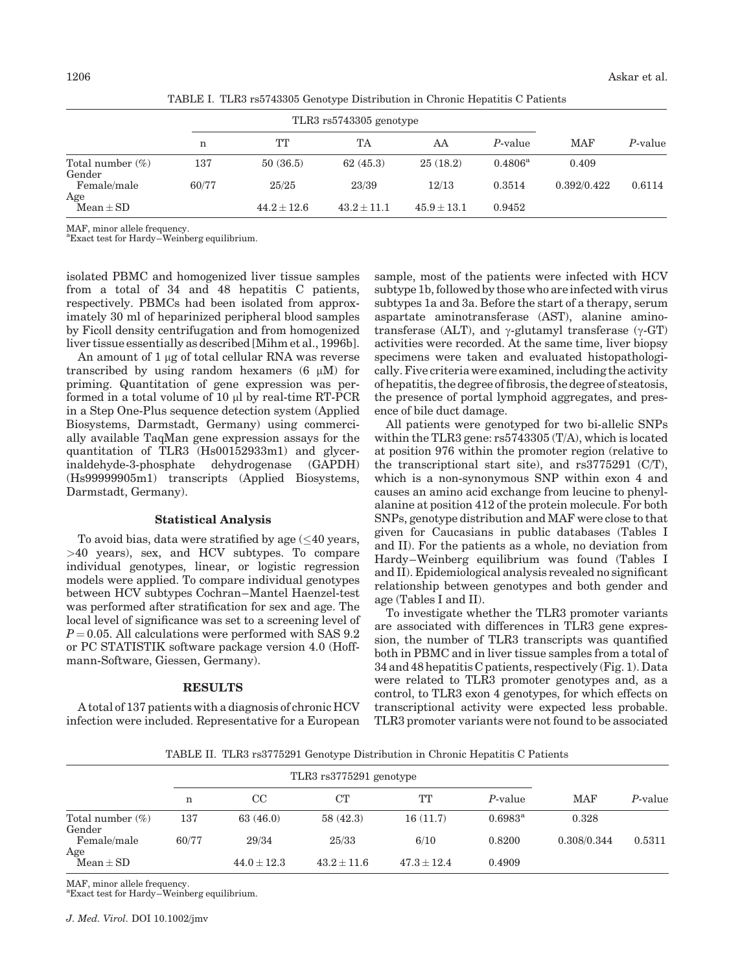|                               |       | TLR3 rs5743305 genotype |               |               |                  |             |         |
|-------------------------------|-------|-------------------------|---------------|---------------|------------------|-------------|---------|
|                               | n     | TT                      | TA            | AA            | P-value          | <b>MAF</b>  | P-value |
| Total number $(\%)$<br>Gender | 137   | 50(36.5)                | 62(45.3)      | 25(18.2)      | $0.4806^{\rm a}$ | 0.409       |         |
| Female/male                   | 60/77 | 25/25                   | 23/39         | 12/13         | 0.3514           | 0.392/0.422 | 0.6114  |
| Age<br>$Mean \pm SD$          |       | $44.2 + 12.6$           | $43.2 + 11.1$ | $45.9 + 13.1$ | 0.9452           |             |         |

TABLE I. TLR3 rs5743305 Genotype Distribution in Chronic Hepatitis C Patients

MAF, minor allele frequency.

a Exact test for Hardy–Weinberg equilibrium.

isolated PBMC and homogenized liver tissue samples from a total of 34 and 48 hepatitis C patients, respectively. PBMCs had been isolated from approximately 30 ml of heparinized peripheral blood samples by Ficoll density centrifugation and from homogenized liver tissue essentially as described [Mihm et al., 1996b].

An amount of  $1 \mu$ g of total cellular RNA was reverse transcribed by using random hexamers  $(6 \mu M)$  for priming. Quantitation of gene expression was performed in a total volume of 10  $\mu$ l by real-time RT-PCR in a Step One-Plus sequence detection system (Applied Biosystems, Darmstadt, Germany) using commercially available TaqMan gene expression assays for the quantitation of TLR3 (Hs00152933m1) and glycerinaldehyde-3-phosphate dehydrogenase (GAPDH) (Hs99999905m1) transcripts (Applied Biosystems, Darmstadt, Germany).

#### Statistical Analysis

To avoid bias, data were stratified by age ( $\leq\hspace{-0.1cm}40$  years, >40 years), sex, and HCV subtypes. To compare individual genotypes, linear, or logistic regression models were applied. To compare individual genotypes between HCV subtypes Cochran–Mantel Haenzel-test was performed after stratification for sex and age. The local level of significance was set to a screening level of  $P = 0.05$ . All calculations were performed with SAS 9.2 or PC STATISTIK software package version 4.0 (Hoffmann-Software, Giessen, Germany).

#### RESULTS

A total of 137 patients with a diagnosis of chronic HCV infection were included. Representative for a European

sample, most of the patients were infected with HCV subtype 1b, followed by those who are infected with virus subtypes 1a and 3a. Before the start of a therapy, serum aspartate aminotransferase (AST), alanine aminotransferase (ALT), and  $\gamma$ -glutamyl transferase ( $\gamma$ -GT) activities were recorded. At the same time, liver biopsy specimens were taken and evaluated histopathologically. Five criteria were examined, including the activity of hepatitis, the degree offibrosis, the degree of steatosis, the presence of portal lymphoid aggregates, and presence of bile duct damage.

All patients were genotyped for two bi-allelic SNPs within the TLR3 gene: rs5743305 (T/A), which is located at position 976 within the promoter region (relative to the transcriptional start site), and rs3775291 (C/T), which is a non-synonymous SNP within exon 4 and causes an amino acid exchange from leucine to phenylalanine at position 412 of the protein molecule. For both SNPs, genotype distribution and MAF were close to that given for Caucasians in public databases (Tables I and II). For the patients as a whole, no deviation from Hardy–Weinberg equilibrium was found (Tables I and II). Epidemiological analysis revealed no significant relationship between genotypes and both gender and age (Tables I and II).

To investigate whether the TLR3 promoter variants are associated with differences in TLR3 gene expression, the number of TLR3 transcripts was quantified both in PBMC and in liver tissue samples from a total of 34 and 48 hepatitis C patients, respectively (Fig. 1). Data were related to TLR3 promoter genotypes and, as a control, to TLR3 exon 4 genotypes, for which effects on transcriptional activity were expected less probable. TLR3 promoter variants were not found to be associated

TABLE II. TLR3 rs3775291 Genotype Distribution in Chronic Hepatitis C Patients

|                               |       | TLR3 rs3775291 genotype |               |               |                  |             |         |
|-------------------------------|-------|-------------------------|---------------|---------------|------------------|-------------|---------|
|                               | n     | $_{\rm CC}$             | CT            | TT            | $P$ -value       | <b>MAF</b>  | P-value |
| Total number $(\%)$<br>Gender | 137   | 63(46.0)                | 58(42.3)      | 16(11.7)      | $0.6983^{\rm a}$ | 0.328       |         |
| Female/male<br>Age            | 60/77 | 29/34                   | 25/33         | 6/10          | 0.8200           | 0.308/0.344 | 0.5311  |
| $Mean + SD$                   |       | $44.0 \pm 12.3$         | $43.2 + 11.6$ | $47.3 + 12.4$ | 0.4909           |             |         |

MAF, minor allele frequency. a Exact test for Hardy–Weinberg equilibrium.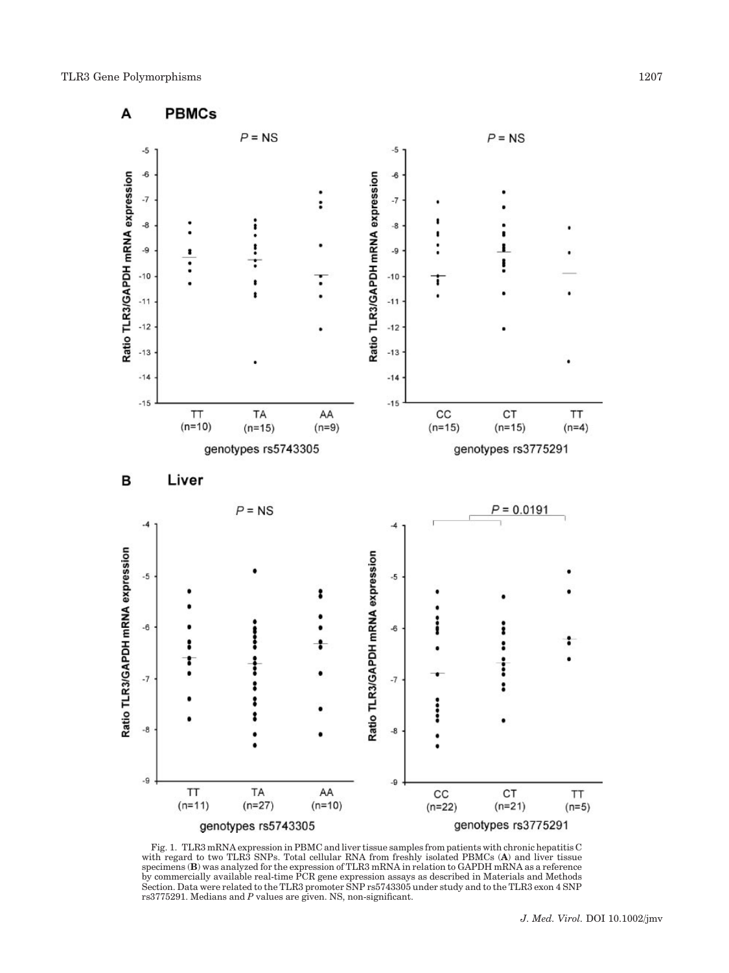

Fig. 1. TLR3 mRNA expression in PBMC and liver tissue samples from patients with chronic hepatitis C<br>with regard to two TLR3 SNPs. Total cellular RNA from freshly isolated PBMCs (A) and liver tissue<br>specimens (B) was analy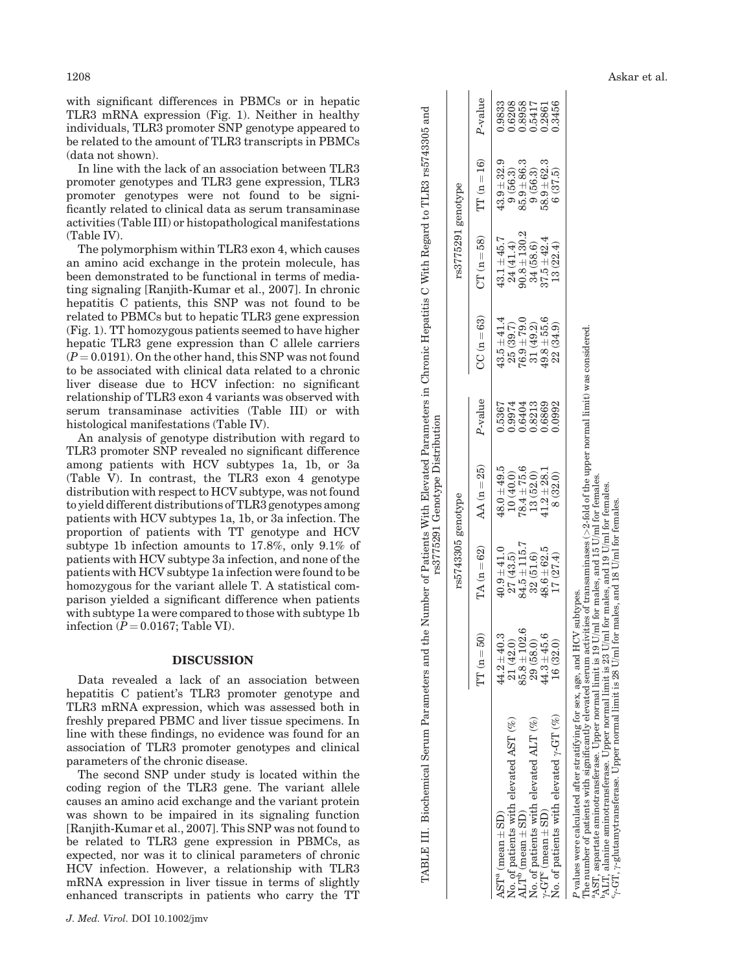The polymorphism within TLR3 exon 4, which causes an amino acid exchange in the protein molecule, has been demonstrated to be functional in terms of mediating signaling [Ranjith-Kumar et al., 2007]. In chronic hepatitis C patients, this SNP was not found to be related to PBMCs but to hepatic TLR3 gene expression (Fig. 1). TT homozygous patients seemed to have higher hepatic TLR3 gene expression than C allele carriers  $(P = 0.0191)$ . On the other hand, this SNP was not found to be associated with clinical data related to a chronic liver disease due to HCV infection: no significant relationship of TLR3 exon 4 variants was observed with serum transaminase activities (Table III) or with histological manifestations (Table IV).

An analysis of genotype distribution with regard to TLR3 promoter SNP revealed no significant difference among patients with HCV subtypes 1a, 1b, or 3a (Table V). In contrast, the TLR3 exon 4 genotype distribution with respect to HCV subtype, was not found to yield different distributions of TLR3 genotypes among patients with HCV subtypes 1a, 1b, or 3a infection. The proportion of patients with TT genotype and HCV subtype 1b infection amounts to 17.8%, only 9.1% of patients with HCV subtype 3a infection, and none of the patients with HCV subtype 1a infection were found to be homozygous for the variant allele T. A statistical comparison yielded a significant difference when patients with subtype 1a were compared to those with subtype 1b infection  $(P = 0.0167;$  Table VI).

#### DISCUSSION

Data revealed a lack of an association between hepatitis C patient's TLR3 promoter genotype and TLR3 mRNA expression, which was assessed both in freshly prepared PBMC and liver tissue specimens. In line with these findings, no evidence was found for an association of TLR3 promoter genotypes and clinical parameters of the chronic disease.

The second SNP under study is located within the coding region of the TLR3 gene. The variant allele causes an amino acid exchange and the variant protein was shown to be impaired in its signaling function [Ranjith-Kumar et al., 2007]. This SNP was not found to be related to TLR3 gene expression in PBMCs, as expected, nor was it to clinical parameters of chronic HCV infection. However, a relationship with TLR3 mRNA expression in liver tissue in terms of slightly enhanced transcripts in patients who carry the TT

| 1208                                                                                                                                                                                                                                        |                   |                      |                                 |                 | Askar et al. |
|---------------------------------------------------------------------------------------------------------------------------------------------------------------------------------------------------------------------------------------------|-------------------|----------------------|---------------------------------|-----------------|--------------|
| with significant differences in PBMCs or in hepatic<br>TLR3 mRNA expression (Fig. 1). Neither in healthy<br>individuals, TLR3 promoter SNP genotype appeared to<br>be related to the amount of TLR3 transcripts in PBMCs                    | and               |                      | alue                            | 33485<br>666666 |              |
| (data not shown).<br>In line with the lack of an association between TLR3<br>promoter genotypes and TLR3 gene expression, TLR3<br>promoter genotypes were not found to be signi-<br>ficantly related to clinical data as serum transaminase | rs5743305<br>TLR3 | Φ                    | ତି<br>Ξ<br>Ë                    | ່ວ¤<br>S        |              |
| activities (Table III) or histopathological manifestations<br>(Table IV).<br>The polymorphism within TLR3 exon 4, which causes<br>an amino acid exchange in the protein molecule, has                                                       | Regard to         | య్<br>5291<br>⊢<br>Ļ | $\widehat{\infty}$<br><b>LC</b> |                 |              |

No. of patients with elevated ALT  $(\%)$ <br>  $\gamma$ -GT<sup>e</sup> (mean  $\pm$  SD)<br>No. of patients with elevated  $\gamma$ -GT  $(\%)$  $\begin{array}{c} 29\ (58.0) \\ 44.3 \pm 45.6 \\ 16\ (32.0) \end{array}$  $\begin{array}{c} 48.6 \pm 62.5 \\ 17 \ (27.4) \end{array}$  $\begin{array}{c} 13\ (52.0) \\ 41.2 \pm 28.1 \\ 8\ (32.0) \end{array}$ No. of patients with elevated  $\sqrt{$ -GT (%)  $\sqrt{$  ( $\sqrt{31.4}}$  (32.03.000 0.0992 22.0992 22.0992 22.0992 22.0992 22.091 0.3456

TABLE III. Biochemical Serum Parameters and the Number of Patients With Elevated Parameters in Chronic Hepatitis C With Regard to TLR3 rs5743305 and rs3775291 Genotype Distribution

rs3775291 Genotype Distribution

TABLE III. Biochemical Serum Parameters and the Number of Patients With Elevated Parameters in Chronic Hepatitis C With Regard to TLR3 rs5743305 and

rs5743305 genotype rs3775291 genotype

 $TT$  (n  $=$ 

AST<sup>a</sup> (mean

 $\pm$ SD)  $44.2$ 

 $\pm$  SD)  $85.8$ 

 $\pm$ SD)  $44.3$ 

 $44.2 \pm 40.3$ 

 $\begin{array}{c} 21\ (42.0) \\ 85.8 \pm 102.6 \end{array}$ 

 $\pm 102.6$  84.5

 $\pm 45.6$  48.6

 $\pm 62.5$  41.2

 $\pm$  115.7 78.4

 $78.4 \pm 75.6$ 

No. of patients with elevated ALT (%)  $(8.0)$   $(32.0)$   $(51.6)$   $(32.0)$   $(38.0)$   $(39.0)$   $(39.6)$   $(39.6)$   $(30.56.3)$   $(36.3)$ 

 $\pm 75.6$  0.6404 76.9

 $\pm 28.1$  0.6869 49.8

 $\begin{array}{c} 0.6404 \\ 0.8213 \\ 0.6869 \\ 0.6869 \\ 0.0992 \end{array}$ 

 $\pm\,40.3$  40.9

 $\pm 41.0$  48.0

 $48.0 \pm 49.5$ <br>10 (40.0)

No. of patients with elevated AST (%) 21 (42.0) 27 (43.5) 10 (40.0) 0.9974 25 (39.7) 24 (41.4) 9 (56.3) 0.6208

 $\pm 49.5$  0.5367 43.5

0.9974 0.5367

 $+$   $\omega$   $+$   $\rightarrow$   $+$ 

 $\pm 79.0 \pm 79.8$ 

 $\pm 55.6$  37.5

 $\begin{array}{c} 34\ (58.6) \\ 37.5 \pm 42.4 \\ 13\ (22.4) \end{array}$ 

 $+ +$ 

+ - ಬೆ +

 $\mathbf{A}\mathbf{L}\mathbf{T}^{\mathbf{b}}$  (mean

 $\gamma$ -GT $^{\rm c}$  (mean

 $=50$ ) TA (n

TA  $(n=62)$ 

 $=62$ ) AA (n

rs5743305 genotype

 $= 25$ 

P-value CC (n

 $P$ -value

 $CC(n=63)$ 

 $=63$ ) CT (n

 $\pm 41.4$  43.1

 $CT(n = 58)$ 

rs3775291

P values were calculated after stratifying for sex, age, and HCV subtypes.

The number of patients with significantly elevated serum activities of transaminases (  $>$ 2-fold of the upper normal limit) was considered.

<sup>a</sup>AST, aspartate aminotransferase. Upper normal limit is 19 U/ml for males, and 15 U/ml for females. bALT, alanine aminotransferase. Upper normal limit is 23 U/ml for males, and 19 U/ml for females.

 $q$ -GT,  $q$ -glutamytransferase. Upper normal limit is 28 U/ml for males, and 18 U/ml for females.

c,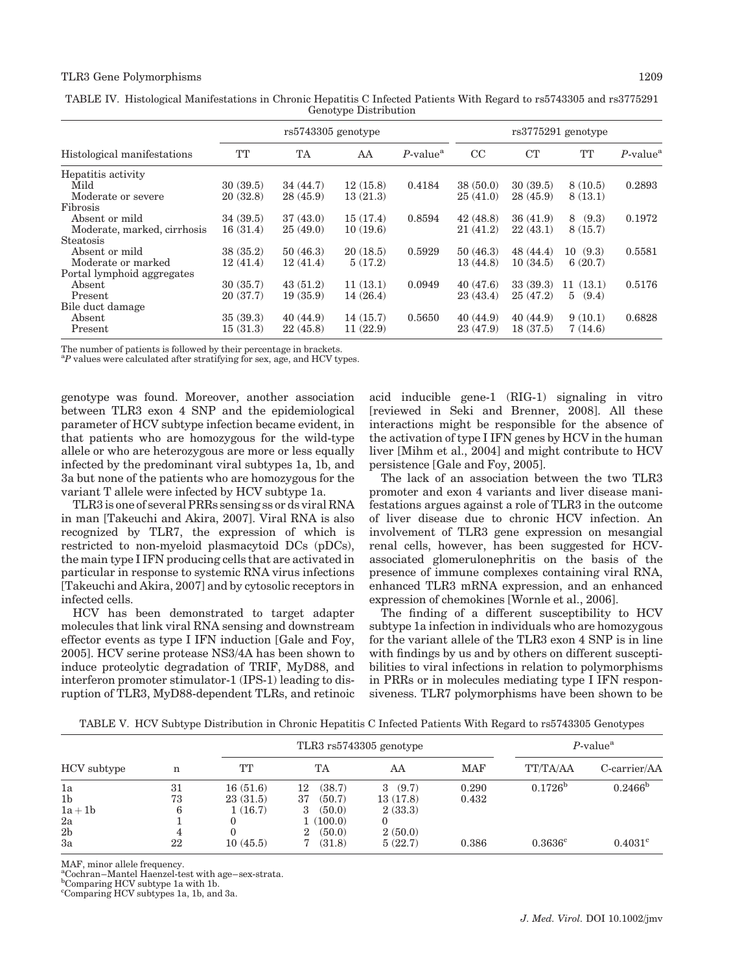#### TLR3 Gene Polymorphisms 1209

| Gettory be Distribution     |                      |          |          |                         |                      |          |            |                         |  |  |
|-----------------------------|----------------------|----------|----------|-------------------------|----------------------|----------|------------|-------------------------|--|--|
|                             | $rs5743305$ genotype |          |          |                         | $rs3775291$ genotype |          |            |                         |  |  |
| Histological manifestations | TT                   | TA       | AA       | $P$ -value <sup>a</sup> | CC                   | CT       | TT         | $P$ -value <sup>a</sup> |  |  |
| Hepatitis activity          |                      |          |          |                         |                      |          |            |                         |  |  |
| Mild                        | 30(39.5)             | 34(44.7) | 12(15.8) | 0.4184                  | 38(50.0)             | 30(39.5) | 8(10.5)    | 0.2893                  |  |  |
| Moderate or severe          | 20(32.8)             | 28(45.9) | 13(21.3) |                         | 25(41.0)             | 28(45.9) | 8(13.1)    |                         |  |  |
| Fibrosis                    |                      |          |          |                         |                      |          |            |                         |  |  |
| Absent or mild              | 34(39.5)             | 37(43.0) | 15(17.4) | 0.8594                  | 42(48.8)             | 36(41.9) | 8(9.3)     | 0.1972                  |  |  |
| Moderate, marked, cirrhosis | 16(31.4)             | 25(49.0) | 10(19.6) |                         | 21(41.2)             | 22(43.1) | 8(15.7)    |                         |  |  |
| Steatosis                   |                      |          |          |                         |                      |          |            |                         |  |  |
| Absent or mild              | 38(35.2)             | 50(46.3) | 20(18.5) | 0.5929                  | 50(46.3)             | 48(44.4) | 10(9.3)    | 0.5581                  |  |  |
| Moderate or marked          | 12(41.4)             | 12(41.4) | 5(17.2)  |                         | 13 (44.8)            | 10(34.5) | 6(20.7)    |                         |  |  |
| Portal lymphoid aggregates  |                      |          |          |                         |                      |          |            |                         |  |  |
| Absent                      | 30(35.7)             | 43(51.2) | 11(13.1) | 0.0949                  | 40(47.6)             | 33(39.3) | 11(13.1)   | 0.5176                  |  |  |
| Present                     | 20(37.7)             | 19(35.9) | 14(26.4) |                         | 23(43.4)             | 25(47.2) | 5<br>(9.4) |                         |  |  |
| Bile duct damage            |                      |          |          |                         |                      |          |            |                         |  |  |
| Absent                      | 35(39.3)             | 40(44.9) | 14(15.7) | 0.5650                  | 40(44.9)             | 40(44.9) | 9(10.1)    | 0.6828                  |  |  |
| Present                     | 15(31.3)             | 22(45.8) | 11(22.9) |                         | 23 (47.9)            | 18(37.5) | 7(14.6)    |                         |  |  |

TABLE IV. Histological Manifestations in Chronic Hepatitis C Infected Patients With Regard to rs5743305 and rs3775291 Genotype Distribution

The number of patients is followed by their percentage in brackets.

<sup>a</sup>P values were calculated after stratifying for sex, age, and HCV types.

genotype was found. Moreover, another association between TLR3 exon 4 SNP and the epidemiological parameter of HCV subtype infection became evident, in that patients who are homozygous for the wild-type allele or who are heterozygous are more or less equally infected by the predominant viral subtypes 1a, 1b, and 3a but none of the patients who are homozygous for the variant T allele were infected by HCV subtype 1a.

TLR3 is one of several PRRs sensing ss or ds viral RNA in man [Takeuchi and Akira, 2007]. Viral RNA is also recognized by TLR7, the expression of which is restricted to non-myeloid plasmacytoid DCs (pDCs), the main type I IFN producing cells that are activated in particular in response to systemic RNA virus infections [Takeuchi and Akira, 2007] and by cytosolic receptors in infected cells.

HCV has been demonstrated to target adapter molecules that link viral RNA sensing and downstream effector events as type I IFN induction [Gale and Foy, 2005]. HCV serine protease NS3/4A has been shown to induce proteolytic degradation of TRIF, MyD88, and interferon promoter stimulator-1 (IPS-1) leading to disruption of TLR3, MyD88-dependent TLRs, and retinoic acid inducible gene-1 (RIG-1) signaling in vitro [reviewed in Seki and Brenner, 2008]. All these interactions might be responsible for the absence of the activation of type I IFN genes by HCV in the human liver [Mihm et al., 2004] and might contribute to HCV persistence [Gale and Foy, 2005].

The lack of an association between the two TLR3 promoter and exon 4 variants and liver disease manifestations argues against a role of TLR3 in the outcome of liver disease due to chronic HCV infection. An involvement of TLR3 gene expression on mesangial renal cells, however, has been suggested for HCVassociated glomerulonephritis on the basis of the presence of immune complexes containing viral RNA, enhanced TLR3 mRNA expression, and an enhanced expression of chemokines [Wornle et al., 2006].

The finding of a different susceptibility to HCV subtype 1a infection in individuals who are homozygous for the variant allele of the TLR3 exon 4 SNP is in line with findings by us and by others on different susceptibilities to viral infections in relation to polymorphisms in PRRs or in molecules mediating type I IFN responsiveness. TLR7 polymorphisms have been shown to be

TABLE V. HCV Subtype Distribution in Chronic Hepatitis C Infected Patients With Regard to rs5743305 Genotypes

|                                 |          |                      | TLR3 rs5743305 genotype                |                        |                |                  | $P$ -value <sup>a</sup> |  |
|---------------------------------|----------|----------------------|----------------------------------------|------------------------|----------------|------------------|-------------------------|--|
| HCV subtype                     | n        | TТ                   | TА                                     | AA                     | MAF            | <b>TT/TA/AA</b>  | C-carrier/AA            |  |
| 1a<br>1 <sub>b</sub>            | 31<br>73 | 16(51.6)<br>23(31.5) | (38.7)<br>12<br>37<br>(50.7)           | (9.7)<br>3<br>13(17.8) | 0.290<br>0.432 | $0.1726^{b}$     | $0.2466^{\rm b}$        |  |
| $1a+1b$<br>2a<br>2 <sub>b</sub> | 6<br>4   | 1(16.7)              | (50.0)<br>3<br>1(100.0)<br>(50.0)<br>2 | 2(33.3)<br>2(50.0)     |                |                  |                         |  |
| 3a                              | 22       | 10(45.5)             | (31.8)                                 | 5(22.7)                | 0.386          | $0.3636^{\circ}$ | $0.4031^{\circ}$        |  |

MAF, minor allele frequency.

<sup>a</sup>Cochran–Mantel Haenzel-test with age–sex-strata.

Comparing HCV subtype 1a with 1b.

c Comparing HCV subtypes 1a, 1b, and 3a.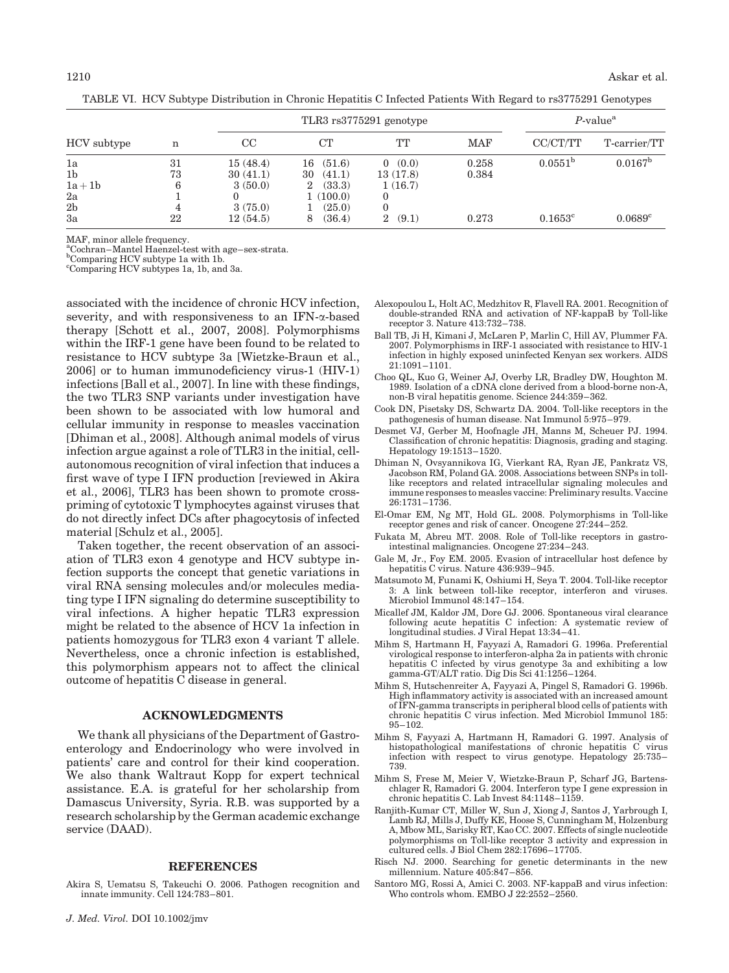|                |    |          | TLR3 rs3775291 genotype |            |            |                     | $P$ -value <sup>a</sup> |  |
|----------------|----|----------|-------------------------|------------|------------|---------------------|-------------------------|--|
| HCV subtype    | n  | CC       | CT                      | TT         | <b>MAF</b> | CC/CT/TT            | T-carrier/TT            |  |
| 1a             | 31 | 15(48.4) | (51.6)<br>16            | (0.0)      | 0.258      | 0.0551 <sup>b</sup> | $0.0167^{\rm b}$        |  |
| 1 <sub>b</sub> | 73 | 30(41.1) | 30<br>(41.1)            | 13(17.8)   | 0.384      |                     |                         |  |
| $1a+1b$        | 6  | 3(50.0)  | (33.3)<br>2             | 1(16.7)    |            |                     |                         |  |
| 2a             |    |          | 1(100.0)                |            |            |                     |                         |  |
| 2 <sub>b</sub> |    | 3(75.0)  | (25.0)                  |            |            |                     |                         |  |
| 3a             | 22 | 12(54.5) | (36.4)<br>8             | (9.1)<br>2 | 0.273      | $0.1653^{\circ}$    | $0.0689^{\circ}$        |  |

TABLE VI. HCV Subtype Distribution in Chronic Hepatitis C Infected Patients With Regard to rs3775291 Genotypes

MAF, minor allele frequency.

<sup>a</sup>Cochran–Mantel Haenzel-test with age–sex-strata.

<sup>b</sup>Comparing HCV subtype 1a with 1b. c Comparing HCV subtypes 1a, 1b, and 3a.

associated with the incidence of chronic HCV infection, severity, and with responsiveness to an  $IFN-\alpha$ -based therapy [Schott et al., 2007, 2008]. Polymorphisms within the IRF-1 gene have been found to be related to resistance to HCV subtype 3a [Wietzke-Braun et al., 2006] or to human immunodeficiency virus-1 (HIV-1) infections [Ball et al., 2007]. In line with these findings, the two TLR3 SNP variants under investigation have been shown to be associated with low humoral and cellular immunity in response to measles vaccination [Dhiman et al., 2008]. Although animal models of virus infection argue against a role of TLR3 in the initial, cellautonomous recognition of viral infection that induces a first wave of type I IFN production [reviewed in Akira et al., 2006], TLR3 has been shown to promote crosspriming of cytotoxic T lymphocytes against viruses that do not directly infect DCs after phagocytosis of infected material [Schulz et al., 2005].

Taken together, the recent observation of an association of TLR3 exon 4 genotype and HCV subtype infection supports the concept that genetic variations in viral RNA sensing molecules and/or molecules mediating type I IFN signaling do determine susceptibility to viral infections. A higher hepatic TLR3 expression might be related to the absence of HCV 1a infection in patients homozygous for TLR3 exon 4 variant T allele. Nevertheless, once a chronic infection is established, this polymorphism appears not to affect the clinical outcome of hepatitis C disease in general.

#### ACKNOWLEDGMENTS

We thank all physicians of the Department of Gastroenterology and Endocrinology who were involved in patients' care and control for their kind cooperation. We also thank Waltraut Kopp for expert technical assistance. E.A. is grateful for her scholarship from Damascus University, Syria. R.B. was supported by a research scholarship by the German academic exchange service (DAAD).

#### REFERENCES

Akira S, Uematsu S, Takeuchi O. 2006. Pathogen recognition and innate immunity. Cell 124:783–801.

- Alexopoulou L, Holt AC, Medzhitov R, Flavell RA. 2001. Recognition of double-stranded RNA and activation of NF-kappaB by Toll-like receptor 3. Nature 413:732–738.
- Ball TB, Ji H, Kimani J, McLaren P, Marlin C, Hill AV, Plummer FA. 2007. Polymorphisms in IRF-1 associated with resistance to HIV-1 infection in highly exposed uninfected Kenyan sex workers. AIDS 21:1091–1101.
- Choo QL, Kuo G, Weiner AJ, Overby LR, Bradley DW, Houghton M. 1989. Isolation of a cDNA clone derived from a blood-borne non-A, non-B viral hepatitis genome. Science 244:359–362.
- Cook DN, Pisetsky DS, Schwartz DA. 2004. Toll-like receptors in the pathogenesis of human disease. Nat Immunol 5:975–979.
- Desmet VJ, Gerber M, Hoofnagle JH, Manns M, Scheuer PJ. 1994. Classification of chronic hepatitis: Diagnosis, grading and staging. Hepatology 19:1513–1520.
- Dhiman N, Ovsyannikova IG, Vierkant RA, Ryan JE, Pankratz VS, Jacobson RM, Poland GA. 2008. Associations between SNPs in tolllike receptors and related intracellular signaling molecules and immune responses to measles vaccine: Preliminary results. Vaccine 26:1731–1736.
- El-Omar EM, Ng MT, Hold GL. 2008. Polymorphisms in Toll-like receptor genes and risk of cancer. Oncogene 27:244–252.
- Fukata M, Abreu MT. 2008. Role of Toll-like receptors in gastrointestinal malignancies. Oncogene 27:234–243.
- Gale M, Jr., Foy EM. 2005. Evasion of intracellular host defence by hepatitis C virus. Nature 436:939–945.
- Matsumoto M, Funami K, Oshiumi H, Seya T. 2004. Toll-like receptor 3: A link between toll-like receptor, interferon and viruses. Microbiol Immunol 48:147–154.
- Micallef JM, Kaldor JM, Dore GJ. 2006. Spontaneous viral clearance following acute hepatitis C infection: A systematic review of longitudinal studies. J Viral Hepat 13:34–41.
- Mihm S, Hartmann H, Fayyazi A, Ramadori G. 1996a. Preferential virological response to interferon-alpha 2a in patients with chronic hepatitis C infected by virus genotype 3a and exhibiting a low gamma-GT/ALT ratio. Dig Dis Sci 41:1256–1264.
- Mihm S, Hutschenreiter A, Fayyazi A, Pingel S, Ramadori G. 1996b. High inflammatory activity is associated with an increased amount of IFN-gamma transcripts in peripheral blood cells of patients with chronic hepatitis C virus infection. Med Microbiol Immunol 185: 95–102.
- Mihm S, Fayyazi A, Hartmann H, Ramadori G. 1997. Analysis of histopathological manifestations of chronic hepatitis C virus infection with respect to virus genotype. Hepatology 25:735– 739.
- Mihm S, Frese M, Meier V, Wietzke-Braun P, Scharf JG, Bartenschlager R, Ramadori G. 2004. Interferon type I gene expression in chronic hepatitis C. Lab Invest 84:1148–1159.
- Ranjith-Kumar CT, Miller W, Sun J, Xiong J, Santos J, Yarbrough I, Lamb RJ, Mills J, Duffy KE, Hoose S, Cunningham M, Holzenburg A, Mbow ML, Sarisky RT, Kao CC. 2007. Effects of single nucleotide polymorphisms on Toll-like receptor 3 activity and expression in cultured cells. J Biol Chem 282:17696–17705.
- Risch NJ. 2000. Searching for genetic determinants in the new millennium. Nature 405:847–856.
- Santoro MG, Rossi A, Amici C. 2003. NF-kappaB and virus infection: Who controls whom. EMBO J 22:2552–2560.